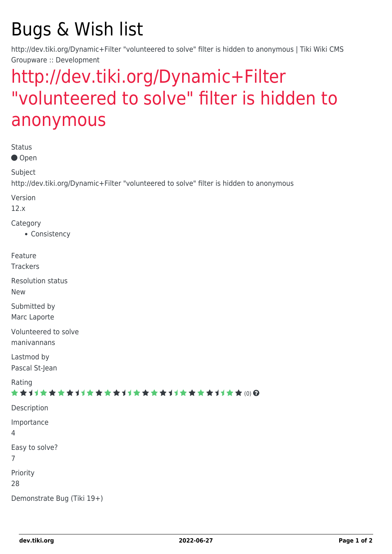# Bugs & Wish list

http://dev.tiki.org/Dynamic+Filter "volunteered to solve" filter is hidden to anonymous | Tiki Wiki CMS Groupware :: Development

## [http://dev.tiki.org/Dynamic+Filter](https://dev.tiki.org/item5008-http-dev-tiki-org-Dynamic-Filter-volunteered-to-solve-filter-is-hidden-to-anonymous) ["volunteered to solve" filter is hidden to](https://dev.tiki.org/item5008-http-dev-tiki-org-Dynamic-Filter-volunteered-to-solve-filter-is-hidden-to-anonymous) [anonymous](https://dev.tiki.org/item5008-http-dev-tiki-org-Dynamic-Filter-volunteered-to-solve-filter-is-hidden-to-anonymous)

| <b>Status</b>                                                                           |
|-----------------------------------------------------------------------------------------|
| Open                                                                                    |
| Subject                                                                                 |
| http://dev.tiki.org/Dynamic+Filter "volunteered to solve" filter is hidden to anonymous |
| Version<br>12.x                                                                         |
| Category<br>• Consistency                                                               |
| Feature<br><b>Trackers</b>                                                              |
| <b>Resolution status</b><br><b>New</b>                                                  |
| Submitted by<br>Marc Laporte                                                            |
| Volunteered to solve<br>manivannans                                                     |
| Lastmod by<br>Pascal St-Jean                                                            |
| Rating<br>★★オオ★★★★オオ★★★★オオ★★★★オオ★★★★オオ★★∞Q                                              |
| Description                                                                             |
| Importance<br>4                                                                         |
| Easy to solve?<br>7                                                                     |
| Priority<br>28                                                                          |
| Demonstrate Bug (Tiki 19+)                                                              |